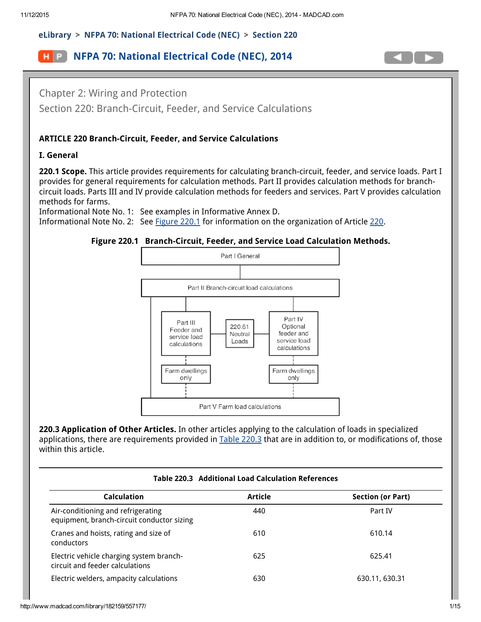# [eLibrary](http://www.madcad.com/library/) > NFPA 70: National [Electrical](http://www.madcad.com/library/182159/) Code (NEC) > Section 220

# **H** P **NFPA 70: National [Electrical](http://www.madcad.com/library/182159/) Code (NEC), 2014**



Chapter 2: Wiring and Protection Section 220: Branch-Circuit, Feeder, and Service Calculations

## ARTICLE 220 Branch-Circuit, Feeder, and Service Calculations

#### I. General

220.1 Scope. This article provides requirements for calculating branch-circuit, feeder, and service loads. Part I provides for general requirements for calculation methods. Part II provides calculation methods for branchcircuit loads. Parts III and IV provide calculation methods for feeders and services. Part V provides calculation methods for farms.

<span id="page-0-0"></span>Informational Note No. 1: See examples in Informative Annex D. Informational Note No. 2: See [Figure](#page-0-0) 220.1 for information on the organization of Article [220.](#page-14-0)

#### Figure 220.1 Branch-Circuit, Feeder, and Service Load Calculation Methods.



220.3 Application of Other Articles. In other articles applying to the calculation of loads in specialized applications, there are requirements provided in Table [220.3](#page-1-0) that are in addition to, or modifications of, those within this article.

| Table 220.3 Additional Load Calculation References                               |                |                          |  |
|----------------------------------------------------------------------------------|----------------|--------------------------|--|
| <b>Calculation</b>                                                               | <b>Article</b> | <b>Section (or Part)</b> |  |
| Air-conditioning and refrigerating<br>equipment, branch-circuit conductor sizing | 440            | Part IV                  |  |
| Cranes and hoists, rating and size of<br>conductors                              | 610            | 610.14                   |  |
| Electric vehicle charging system branch-<br>circuit and feeder calculations      | 625            | 625.41                   |  |
| Electric welders, ampacity calculations                                          | 630            | 630.11, 630.31           |  |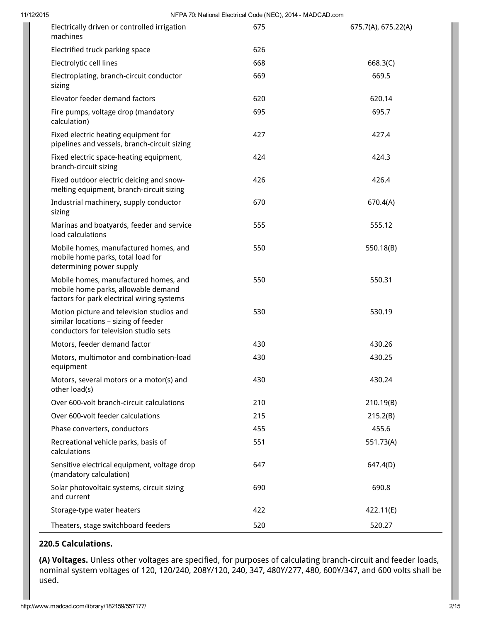| 11/12/2015 | NFPA 70: National Electrical Code (NEC), 2014 - MADCAD.com                                                                 |     |                     |  |
|------------|----------------------------------------------------------------------------------------------------------------------------|-----|---------------------|--|
|            | Electrically driven or controlled irrigation<br>machines                                                                   | 675 | 675.7(A), 675.22(A) |  |
|            | Electrified truck parking space                                                                                            | 626 |                     |  |
|            | Electrolytic cell lines                                                                                                    | 668 | 668.3(C)            |  |
|            | Electroplating, branch-circuit conductor<br>sizing                                                                         | 669 | 669.5               |  |
|            | Elevator feeder demand factors                                                                                             | 620 | 620.14              |  |
|            | Fire pumps, voltage drop (mandatory<br>calculation)                                                                        | 695 | 695.7               |  |
|            | Fixed electric heating equipment for<br>pipelines and vessels, branch-circuit sizing                                       | 427 | 427.4               |  |
|            | Fixed electric space-heating equipment,<br>branch-circuit sizing                                                           | 424 | 424.3               |  |
|            | Fixed outdoor electric deicing and snow-<br>melting equipment, branch-circuit sizing                                       | 426 | 426.4               |  |
|            | Industrial machinery, supply conductor<br>sizing                                                                           | 670 | 670.4(A)            |  |
|            | Marinas and boatyards, feeder and service<br>load calculations                                                             | 555 | 555.12              |  |
|            | Mobile homes, manufactured homes, and<br>mobile home parks, total load for<br>determining power supply                     | 550 | 550.18(B)           |  |
|            | Mobile homes, manufactured homes, and<br>mobile home parks, allowable demand<br>factors for park electrical wiring systems | 550 | 550.31              |  |
|            | Motion picture and television studios and<br>similar locations - sizing of feeder<br>conductors for television studio sets | 530 | 530.19              |  |
|            | Motors, feeder demand factor                                                                                               | 430 | 430.26              |  |
|            | Motors, multimotor and combination-load<br>equipment                                                                       | 430 | 430.25              |  |
|            | Motors, several motors or a motor(s) and<br>other load(s)                                                                  | 430 | 430.24              |  |
|            | Over 600-volt branch-circuit calculations                                                                                  | 210 | 210.19(B)           |  |
|            | Over 600-volt feeder calculations                                                                                          | 215 | 215.2(B)            |  |
|            | Phase converters, conductors                                                                                               | 455 | 455.6               |  |
|            | Recreational vehicle parks, basis of<br>calculations                                                                       | 551 | 551.73(A)           |  |
|            | Sensitive electrical equipment, voltage drop<br>(mandatory calculation)                                                    | 647 | 647.4(D)            |  |
|            | Solar photovoltaic systems, circuit sizing<br>and current                                                                  | 690 | 690.8               |  |
|            | Storage-type water heaters                                                                                                 | 422 | 422.11(E)           |  |
|            | Theaters, stage switchboard feeders                                                                                        | 520 | 520.27              |  |

#### <span id="page-1-0"></span>220.5 Calculations.

(A) Voltages. Unless other voltages are specified, for purposes of calculating branch-circuit and feeder loads, nominal system voltages of 120, 120/240, 208Y/120, 240, 347, 480Y/277, 480, 600Y/347, and 600 volts shall be used.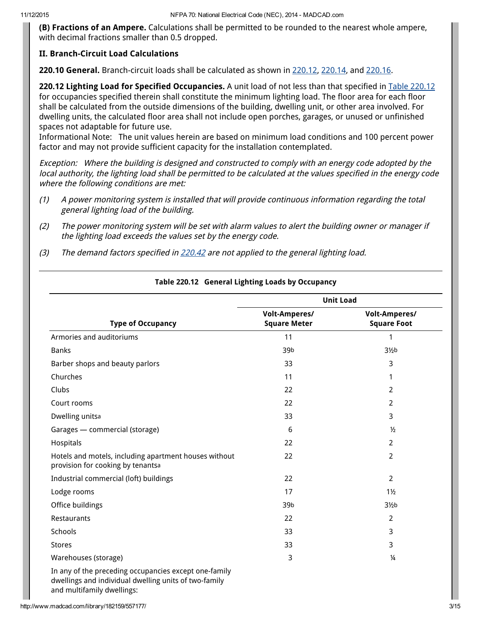(B) Fractions of an Ampere. Calculations shall be permitted to be rounded to the nearest whole ampere, with decimal fractions smaller than 0.5 dropped.

### II. Branch-Circuit Load Calculations

220.10 General. Branch-circuit loads shall be calculated as shown in 220.12, 220.14, and 220.16.

220.12 Lighting Load for Specified Occupancies. A unit load of not less than that specified in Table 220.12 for occupancies specified therein shall constitute the minimum lighting load. The floor area for each floor shall be calculated from the outside dimensions of the building, dwelling unit, or other area involved. For dwelling units, the calculated floor area shall not include open porches, garages, or unused or unfinished spaces not adaptable for future use.

Informational Note: The unit values herein are based on minimum load conditions and 100 percent power factor and may not provide sufficient capacity for the installation contemplated.

Exception: Where the building is designed and constructed to comply with an energy code adopted by the local authority, the lighting load shall be permitted to be calculated at the values specified in the energy code where the following conditions are met:

- (1) A power monitoring system is installed that will provide continuous information regarding the total general lighting load of the building.
- (2) The power monitoring system will be set with alarm values to alert the building owner or manager if the lighting load exceeds the values set by the energy code.
- (3) The demand factors specified in 220.42 are not applied to the general lighting load.

|                                                                                                                                              |                                             | <b>Unit Load</b>                           |
|----------------------------------------------------------------------------------------------------------------------------------------------|---------------------------------------------|--------------------------------------------|
| <b>Type of Occupancy</b>                                                                                                                     | <b>Volt-Amperes/</b><br><b>Square Meter</b> | <b>Volt-Amperes/</b><br><b>Square Foot</b> |
| Armories and auditoriums                                                                                                                     | 11                                          | 1                                          |
| <b>Banks</b>                                                                                                                                 | 39b                                         | 3 <sub>2</sub> b                           |
| Barber shops and beauty parlors                                                                                                              | 33                                          | 3                                          |
| Churches                                                                                                                                     | 11                                          | 1                                          |
| Clubs                                                                                                                                        | 22                                          | $\overline{2}$                             |
| Court rooms                                                                                                                                  | 22                                          | $\overline{2}$                             |
| Dwelling unitsa                                                                                                                              | 33                                          | 3                                          |
| Garages - commercial (storage)                                                                                                               | 6                                           | $\frac{1}{2}$                              |
| Hospitals                                                                                                                                    | 22                                          | $\overline{2}$                             |
| Hotels and motels, including apartment houses without<br>provision for cooking by tenantsa                                                   | 22                                          | $\overline{2}$                             |
| Industrial commercial (loft) buildings                                                                                                       | 22                                          | $\overline{2}$                             |
| Lodge rooms                                                                                                                                  | 17                                          | $1\frac{1}{2}$                             |
| Office buildings                                                                                                                             | 39b                                         | 3 <sub>2</sub> b                           |
| Restaurants                                                                                                                                  | 22                                          | 2                                          |
| Schools                                                                                                                                      | 33                                          | 3                                          |
| <b>Stores</b>                                                                                                                                | 33                                          | 3                                          |
| Warehouses (storage)                                                                                                                         | 3                                           | $\frac{1}{4}$                              |
| In any of the preceding occupancies except one-family<br>dwellings and individual dwelling units of two-family<br>and multifamily dwellings: |                                             |                                            |

### Table 220.12 General Lighting Loads by Occupancy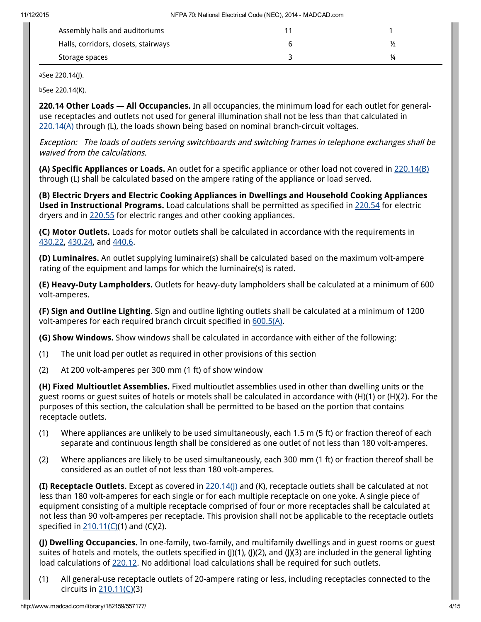| Assembly halls and auditoriums       |               |
|--------------------------------------|---------------|
| Halls, corridors, closets, stairways | $\frac{1}{2}$ |
| Storage spaces                       | ¼             |
|                                      |               |

aSee 220.14(J).

bSee 220.14(K).

220.14 Other Loads — All Occupancies. In all occupancies, the minimum load for each outlet for generaluse receptacles and outlets not used for general illumination shall not be less than that calculated in 220.14(A) through (L), the loads shown being based on nominal branch-circuit voltages.

Exception: The loads of outlets serving switchboards and switching frames in telephone exchanges shall be waived from the calculations.

(A) Specific Appliances or Loads. An outlet for a specific appliance or other load not covered in 220.14(B) through (L) shall be calculated based on the ampere rating of the appliance or load served.

(B) Electric Dryers and Electric Cooking Appliances in Dwellings and Household Cooking Appliances Used in Instructional Programs. Load calculations shall be permitted as specified in 220.54 for electric dryers and in 220.55 for electric ranges and other cooking appliances.

(C) Motor Outlets. Loads for motor outlets shall be calculated in accordance with the requirements in [430.22](http://www.madcad.com/library/182159/557244/#nfc_70_2014_ID000070042330), [430.24](http://www.madcad.com/library/182159/557244/#nfc_70_2014_ID000070046557), and [440.6](http://www.madcad.com/library/182159/557245/#nfc_70_2014_ID000070038347).

(D) Luminaires. An outlet supplying luminaire(s) shall be calculated based on the maximum volt-ampere rating of the equipment and lamps for which the luminaire(s) is rated.

(E) Heavy-Duty Lampholders. Outlets for heavy-duty lampholders shall be calculated at a minimum of 600 volt-amperes.

(F) Sign and Outline Lighting. Sign and outline lighting outlets shall be calculated at a minimum of 1200 volt-amperes for each required branch circuit specified in [600.5\(A\).](http://www.madcad.com/library/182159/557283/#nfc_70_2014_ID000070037984)

(G) Show Windows. Show windows shall be calculated in accordance with either of the following:

- (1) The unit load per outlet as required in other provisions of this section
- (2) At 200 volt-amperes per 300 mm (1 ft) of show window

(H) Fixed Multioutlet Assemblies. Fixed multioutlet assemblies used in other than dwelling units or the guest rooms or guest suites of hotels or motels shall be calculated in accordance with (H)(1) or (H)(2). For the purposes of this section, the calculation shall be permitted to be based on the portion that contains receptacle outlets.

- (1) Where appliances are unlikely to be used simultaneously, each 1.5 m (5 ft) or fraction thereof of each separate and continuous length shall be considered as one outlet of not less than 180 volt-amperes.
- (2) Where appliances are likely to be used simultaneously, each 300 mm (1 ft) or fraction thereof shall be considered as an outlet of not less than 180 volt-amperes.

(I) Receptacle Outlets. Except as covered in 220.14(J) and (K), receptacle outlets shall be calculated at not less than 180 volt-amperes for each single or for each multiple receptacle on one yoke. A single piece of equipment consisting of a multiple receptacle comprised of four or more receptacles shall be calculated at not less than 90 volt-amperes per receptacle. This provision shall not be applicable to the receptacle outlets specified in [210.11\(C\)\(](http://www.madcad.com/library/182159/557175/#nfc_70_2014_ID000070041375)1) and (C)(2).

(J) Dwelling Occupancies. In one-family, two-family, and multifamily dwellings and in guest rooms or guest suites of hotels and motels, the outlets specified in (J)(1), (J)(2), and (J)(3) are included in the general lighting load calculations of 220.12. No additional load calculations shall be required for such outlets.

(1) All general-use receptacle outlets of 20-ampere rating or less, including receptacles connected to the circuits in [210.11\(C\)\(](http://www.madcad.com/library/182159/557175/#nfc_70_2014_ID000070041375)3)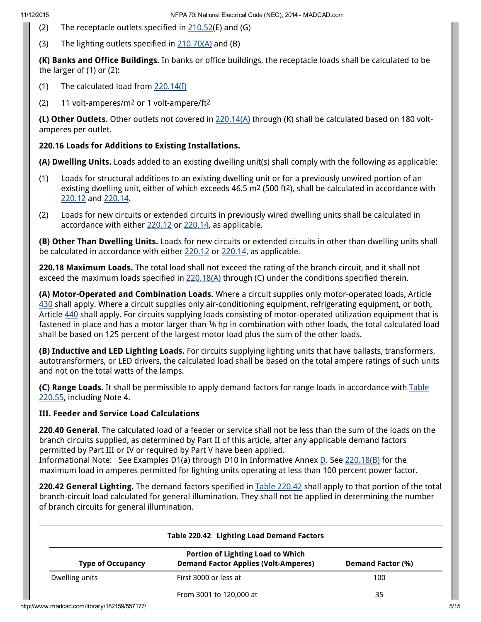- (2) The receptacle outlets specified in  $210.52(E)$  $210.52(E)$  and (G)
- (3) The lighting outlets specified in [210.70\(A\)](http://www.madcad.com/library/182159/557175/#nfc_70_2014_ID000070043296) and (B)

(K) Banks and Office Buildings. In banks or office buildings, the receptacle loads shall be calculated to be the larger of (1) or (2):

- (1) The calculated load from 220.14(I)
- (2) 11 volt-amperes/m2 or 1 volt-ampere/ft2

(L) Other Outlets. Other outlets not covered in  $220.14(A)$  through (K) shall be calculated based on 180 voltamperes per outlet.

# 220.16 Loads for Additions to Existing Installations.

(A) Dwelling Units. Loads added to an existing dwelling unit(s) shall comply with the following as applicable:

- (1) Loads for structural additions to an existing dwelling unit or for a previously unwired portion of an existing dwelling unit, either of which exceeds 46.5 m<sup>2</sup> (500 ft<sup>2</sup>), shall be calculated in accordance with 220.12 and 220.14.
- (2) Loads for new circuits or extended circuits in previously wired dwelling units shall be calculated in accordance with either 220.12 or 220.14, as applicable.

(B) Other Than Dwelling Units. Loads for new circuits or extended circuits in other than dwelling units shall be calculated in accordance with either 220.12 or 220.14, as applicable.

220.18 Maximum Loads. The total load shall not exceed the rating of the branch circuit, and it shall not exceed the maximum loads specified in  $220.18(A)$  through (C) under the conditions specified therein.

(A) Motor-Operated and Combination Loads. Where a circuit supplies only motor-operated loads, Article [430](http://www.madcad.com/library/182159/557244/#nfc_70_2014_ID000070040750) shall apply. Where a circuit supplies only air-conditioning equipment, refrigerating equipment, or both, Article [440](http://www.madcad.com/library/182159/557245/#nfc_70_2014_ID000070042673) shall apply. For circuits supplying loads consisting of motor-operated utilization equipment that is fastened in place and has a motor larger than 1/8 hp in combination with other loads, the total calculated load shall be based on 125 percent of the largest motor load plus the sum of the other loads.

(B) Inductive and LED Lighting Loads. For circuits supplying lighting units that have ballasts, transformers, autotransformers, or LED drivers, the calculated load shall be based on the total ampere ratings of such units and not on the total watts of the lamps.

(C) Range Loads. It shall be permissible to apply demand factors for range loads in accordance with Table 220.55, including Note 4.

# III. Feeder and Service Load Calculations

220.40 General. The calculated load of a feeder or service shall not be less than the sum of the loads on the branch circuits supplied, as determined by Part II of this article, after any applicable demand factors permitted by Part III or IV or required by Part V have been applied.

Informational Note: See Examples D1(a) through D10 in Informative Annex [D.](http://www.madcad.com/library/182159/557332/#nfc_70_2014_ID000070046504) See 220.18(B) for the maximum load in amperes permitted for lighting units operating at less than 100 percent power factor.

220.42 General Lighting. The demand factors specified in Table 220.42 shall apply to that portion of the total branch-circuit load calculated for general illumination. They shall not be applied in determining the number of branch circuits for general illumination.

|                                              | Table 220.42 Lighting Load Demand Factors                                               |                   |
|----------------------------------------------|-----------------------------------------------------------------------------------------|-------------------|
| <b>Type of Occupancy</b>                     | <b>Portion of Lighting Load to Which</b><br><b>Demand Factor Applies (Volt-Amperes)</b> | Demand Factor (%) |
| Dwelling units                               | First 3000 or less at                                                                   | 100               |
|                                              | From 3001 to 120,000 at                                                                 | 35                |
| http://www.madcad.com/library/182159/557177/ |                                                                                         |                   |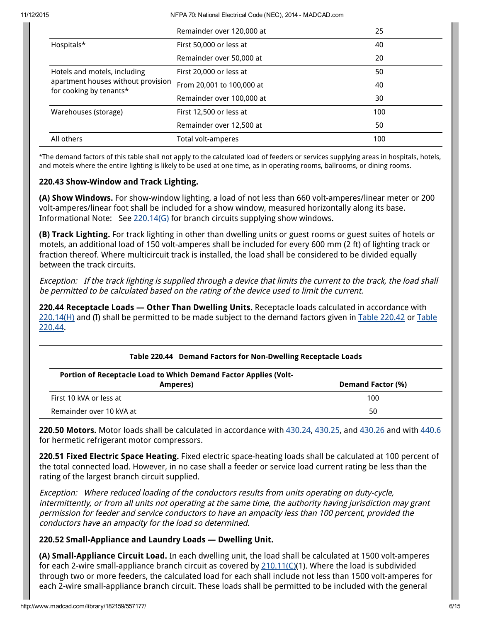11/12/2015 NFPA 70: National Electrical Code (NEC), 2014 MADCAD.com

|                                                                                               | Remainder over 120,000 at | 25  |
|-----------------------------------------------------------------------------------------------|---------------------------|-----|
| Hospitals*                                                                                    | First 50,000 or less at   | 40  |
|                                                                                               | Remainder over 50,000 at  | 20  |
| Hotels and motels, including<br>apartment houses without provision<br>for cooking by tenants* | First 20,000 or less at   | 50  |
|                                                                                               | From 20,001 to 100,000 at | 40  |
|                                                                                               | Remainder over 100,000 at | 30  |
| Warehouses (storage)                                                                          | First 12,500 or less at   | 100 |
|                                                                                               | Remainder over 12,500 at  | 50  |
| All others                                                                                    | Total volt-amperes        | 100 |

\*The demand factors of this table shall not apply to the calculated load of feeders or services supplying areas in hospitals, hotels, and motels where the entire lighting is likely to be used at one time, as in operating rooms, ballrooms, or dining rooms.

### 220.43 Show-Window and Track Lighting.

(A) Show Windows. For show-window lighting, a load of not less than 660 volt-amperes/linear meter or 200 volt-amperes/linear foot shall be included for a show window, measured horizontally along its base. Informational Note: See 220.14(G) for branch circuits supplying show windows.

(B) Track Lighting. For track lighting in other than dwelling units or guest rooms or guest suites of hotels or motels, an additional load of 150 volt-amperes shall be included for every 600 mm (2 ft) of lighting track or fraction thereof. Where multicircuit track is installed, the load shall be considered to be divided equally between the track circuits.

Exception: If the track lighting is supplied through <sup>a</sup> device that limits the current to the track, the load shall be permitted to be calculated based on the rating of the device used to limit the current.

220.44 Receptacle Loads - Other Than Dwelling Units. Receptacle loads calculated in accordance with 220.14(H) and (I) shall be permitted to be made subject to the demand factors given in Table 220.42 or Table 220.44.

### Table 220.44 Demand Factors for Non-Dwelling Receptacle Loads

| Portion of Receptacle Load to Which Demand Factor Applies (Volt- |                          |
|------------------------------------------------------------------|--------------------------|
| Amperes)                                                         | <b>Demand Factor (%)</b> |
| First 10 kVA or less at                                          | 100                      |
| Remainder over 10 kVA at                                         | 50                       |

220.50 Motors. Motor loads shall be calculated in accordance with  $430.24$ ,  $430.25$ , and  $430.26$  and with  $440.6$ for hermetic refrigerant motor compressors.

220.51 Fixed Electric Space Heating. Fixed electric space-heating loads shall be calculated at 100 percent of the total connected load. However, in no case shall a feeder or service load current rating be less than the rating of the largest branch circuit supplied.

Exception: Where reduced loading of the conductors results from units operating on duty-cycle, intermittently, or from all units not operating at the same time, the authority having jurisdiction may grant permission for feeder and service conductors to have an ampacity less than 100 percent, provided the conductors have an ampacity for the load so determined.

# 220.52 Small-Appliance and Laundry Loads — Dwelling Unit.

(A) Small-Appliance Circuit Load. In each dwelling unit, the load shall be calculated at 1500 volt-amperes for each 2-wire small-appliance branch circuit as covered by [210.11\(C\)\(](http://www.madcad.com/library/182159/557175/#nfc_70_2014_ID000070041375)1). Where the load is subdivided through two or more feeders, the calculated load for each shall include not less than 1500 volt-amperes for each 2-wire small-appliance branch circuit. These loads shall be permitted to be included with the general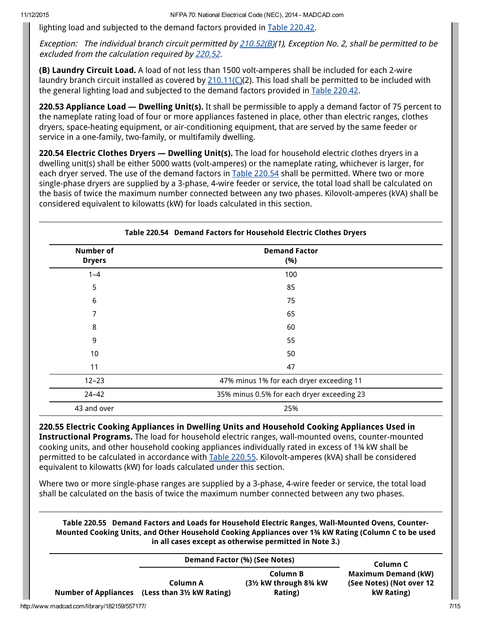lighting load and subjected to the demand factors provided in Table 220.42.

Exception: The individual branch circuit permitted by [210.52\(B\)](http://www.madcad.com/library/182159/557175/#nfc_70_2014_ID000070042159)(1), Exception No. 2, shall be permitted to be excluded from the calculation required by 220.52.

(B) Laundry Circuit Load. A load of not less than 1500 volt-amperes shall be included for each 2-wire laundry branch circuit installed as covered by  $210.11$ ( $C(2)$ ). This load shall be permitted to be included with the general lighting load and subjected to the demand factors provided in Table 220.42.

220.53 Appliance Load - Dwelling Unit(s). It shall be permissible to apply a demand factor of 75 percent to the nameplate rating load of four or more appliances fastened in place, other than electric ranges, clothes dryers, space-heating equipment, or air-conditioning equipment, that are served by the same feeder or service in a one-family, two-family, or multifamily dwelling.

220.54 Electric Clothes Dryers — Dwelling Unit(s). The load for household electric clothes dryers in a dwelling unit(s) shall be either 5000 watts (volt-amperes) or the nameplate rating, whichever is larger, for each dryer served. The use of the demand factors in Table 220.54 shall be permitted. Where two or more single-phase dryers are supplied by a 3-phase, 4-wire feeder or service, the total load shall be calculated on the basis of twice the maximum number connected between any two phases. Kilovolt-amperes (kVA) shall be considered equivalent to kilowatts (kW) for loads calculated in this section.

| <b>Number of</b><br><b>Dryers</b> | <b>Demand Factor</b><br>(%)                |
|-----------------------------------|--------------------------------------------|
| $1 - 4$                           | 100                                        |
| 5                                 | 85                                         |
| 6                                 | 75                                         |
| 7                                 | 65                                         |
| 8                                 | 60                                         |
| 9                                 | 55                                         |
| 10                                | 50                                         |
| 11                                | 47                                         |
| $12 - 23$                         | 47% minus 1% for each dryer exceeding 11   |
| $24 - 42$                         | 35% minus 0.5% for each dryer exceeding 23 |
| 43 and over                       | 25%                                        |

220.55 Electric Cooking Appliances in Dwelling Units and Household Cooking Appliances Used in Instructional Programs. The load for household electric ranges, wall-mounted ovens, counter-mounted cooking units, and other household cooking appliances individually rated in excess of 1¾ kW shall be permitted to be calculated in accordance with Table 220.55. Kilovolt-amperes (kVA) shall be considered equivalent to kilowatts (kW) for loads calculated under this section.

Where two or more single-phase ranges are supplied by a 3-phase, 4-wire feeder or service, the total load shall be calculated on the basis of twice the maximum number connected between any two phases.

Table 220.55 Demand Factors and Loads for Household Electric Ranges, Wall-Mounted Ovens, Counter-Mounted Cooking Units, and Other Household Cooking Appliances over 1¾ kW Rating (Column C to be used in all cases except as otherwise permitted in Note 3.)

|                                              | Demand Factor (%) (See Notes)                             |                                                                     | Column C                                                             |      |
|----------------------------------------------|-----------------------------------------------------------|---------------------------------------------------------------------|----------------------------------------------------------------------|------|
|                                              | Column A<br>Number of Appliances (Less than 3½ kW Rating) | Column B<br>$(3\frac{1}{2}$ kW through $8\frac{3}{4}$ kW<br>Rating) | <b>Maximum Demand (kW)</b><br>(See Notes) (Not over 12<br>kW Rating) |      |
| http://www.madcad.com/library/182159/557177/ |                                                           |                                                                     |                                                                      | 7/15 |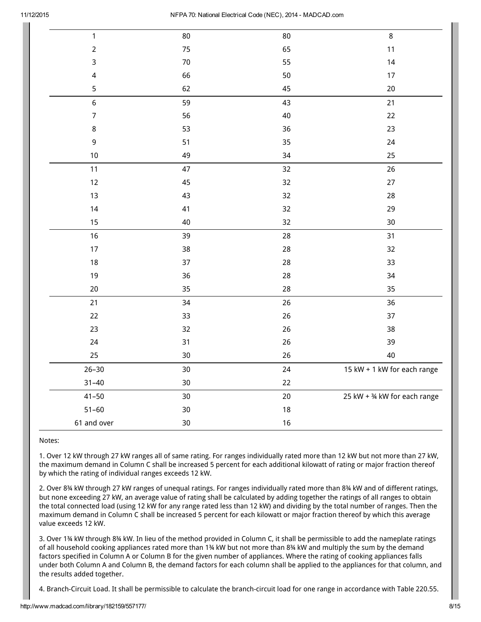| $\mathbf{1}$            | 80     | 80     | 8                            |
|-------------------------|--------|--------|------------------------------|
| $\mathbf 2$             | 75     | 65     | 11                           |
| 3                       | $70\,$ | 55     | 14                           |
| $\overline{\mathbf{4}}$ | 66     | 50     | 17                           |
| 5                       | 62     | 45     | 20                           |
| 6                       | 59     | 43     | 21                           |
| $\overline{7}$          | 56     | $40\,$ | 22                           |
| $\,8\,$                 | 53     | 36     | 23                           |
| $\mathsf 9$             | 51     | 35     | 24                           |
| 10                      | 49     | 34     | 25                           |
| $11$                    | 47     | 32     | 26                           |
| 12                      | 45     | 32     | 27                           |
| 13                      | 43     | 32     | 28                           |
| 14                      | 41     | 32     | 29                           |
| 15                      | 40     | 32     | 30                           |
| 16                      | 39     | 28     | 31                           |
| $17$                    | 38     | 28     | 32                           |
| 18                      | 37     | 28     | 33                           |
| 19                      | 36     | 28     | 34                           |
| $20\,$                  | 35     | 28     | 35                           |
| 21                      | 34     | 26     | 36                           |
| 22                      | 33     | 26     | 37                           |
| 23                      | 32     | 26     | 38                           |
| 24                      | 31     | 26     | 39                           |
| 25                      | 30     | 26     | 40                           |
| $26 - 30$               | 30     | 24     | 15 kW + 1 kW for each range  |
| $31 - 40$               | $30\,$ | 22     |                              |
| $41 - 50$               | 30     | 20     | 25 kW + 34 kW for each range |
| $51 - 60$               | $30\,$ | $18\,$ |                              |
| 61 and over             | $30\,$ | $16$   |                              |

Notes:

1. Over 12 kW through 27 kW ranges all of same rating. For ranges individually rated more than 12 kW but not more than 27 kW, the maximum demand in Column C shall be increased 5 percent for each additional kilowatt of rating or major fraction thereof by which the rating of individual ranges exceeds 12 kW.

2. Over 8¾ kW through 27 kW ranges of unequal ratings. For ranges individually rated more than 8¾ kW and of different ratings, but none exceeding 27 kW, an average value of rating shall be calculated by adding together the ratings of all ranges to obtain the total connected load (using 12 kW for any range rated less than 12 kW) and dividing by the total number of ranges. Then the maximum demand in Column C shall be increased 5 percent for each kilowatt or major fraction thereof by which this average value exceeds 12 kW.

3. Over 1¾ kW through 8¾ kW. In lieu of the method provided in Column C, it shall be permissible to add the nameplate ratings of all household cooking appliances rated more than 1¾ kW but not more than 8¾ kW and multiply the sum by the demand factors specified in Column A or Column B for the given number of appliances. Where the rating of cooking appliances falls under both Column A and Column B, the demand factors for each column shall be applied to the appliances for that column, and the results added together.

4. Branch-Circuit Load. It shall be permissible to calculate the branch-circuit load for one range in accordance with Table 220.55.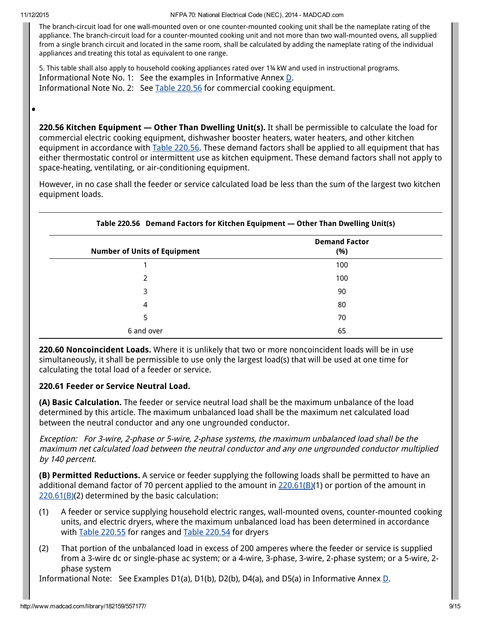•

The branch-circuit load for one wall-mounted oven or one counter-mounted cooking unit shall be the nameplate rating of the appliance. The branch-circuit load for a counter-mounted cooking unit and not more than two wall-mounted ovens, all supplied from a single branch circuit and located in the same room, shall be calculated by adding the nameplate rating of the individual appliances and treating this total as equivalent to one range.

5. This table shall also apply to household cooking appliances rated over 1¾ kW and used in instructional programs. Informational Note No. 1: See the examples in Informative Annex [D.](http://www.madcad.com/library/182159/557332/#nfc_70_2014_ID000070046504) Informational Note No. 2: See Table 220.56 for commercial cooking equipment.

220.56 Kitchen Equipment — Other Than Dwelling Unit(s). It shall be permissible to calculate the load for commercial electric cooking equipment, dishwasher booster heaters, water heaters, and other kitchen equipment in accordance with Table 220.56. These demand factors shall be applied to all equipment that has either thermostatic control or intermittent use as kitchen equipment. These demand factors shall not apply to space-heating, ventilating, or air-conditioning equipment.

However, in no case shall the feeder or service calculated load be less than the sum of the largest two kitchen equipment loads.

| <b>Number of Units of Equipment</b> | <b>Demand Factor</b><br>(%) |
|-------------------------------------|-----------------------------|
|                                     | 100                         |
| 2                                   | 100                         |
| 3                                   | 90                          |
| 4                                   | 80                          |
| 5                                   | 70                          |
| 6 and over                          | 65                          |

220.60 Noncoincident Loads. Where it is unlikely that two or more noncoincident loads will be in use simultaneously, it shall be permissible to use only the largest load(s) that will be used at one time for calculating the total load of a feeder or service.

# 220.61 Feeder or Service Neutral Load.

(A) Basic Calculation. The feeder or service neutral load shall be the maximum unbalance of the load determined by this article. The maximum unbalanced load shall be the maximum net calculated load between the neutral conductor and any one ungrounded conductor.

Exception: For 3-wire, 2-phase or 5-wire, 2-phase systems, the maximum unbalanced load shall be the maximum net calculated load between the neutral conductor and any one ungrounded conductor multiplied by 140 percent.

(B) Permitted Reductions. A service or feeder supplying the following loads shall be permitted to have an additional demand factor of 70 percent applied to the amount in 220.61(B)(1) or portion of the amount in 220.61(B)(2) determined by the basic calculation:

- (1) A feeder or service supplying household electric ranges, wall-mounted ovens, counter-mounted cooking units, and electric dryers, where the maximum unbalanced load has been determined in accordance with Table 220.55 for ranges and Table 220.54 for dryers
- (2) That portion of the unbalanced load in excess of 200 amperes where the feeder or service is supplied from a 3-wire dc or single-phase ac system; or a 4-wire, 3-phase, 3-wire, 2-phase system; or a 5-wire, 2 phase system

Informational Note: See Examples [D](http://www.madcad.com/library/182159/557332/#nfc_70_2014_ID000070046504)1(a), D1(b), D2(b), D4(a), and D5(a) in Informative Annex  $\underline{D}$ .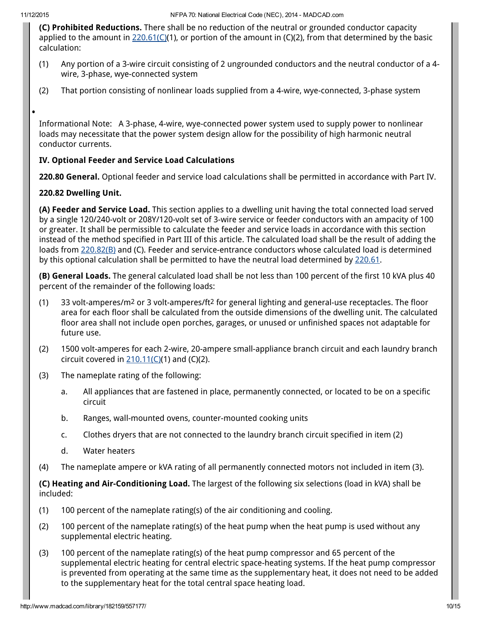•

(C) Prohibited Reductions. There shall be no reduction of the neutral or grounded conductor capacity applied to the amount in 220.61(C)(1), or portion of the amount in (C)(2), from that determined by the basic calculation:

- (1) Any portion of a 3-wire circuit consisting of 2 ungrounded conductors and the neutral conductor of a 4 wire, 3-phase, wye-connected system
- (2) That portion consisting of nonlinear loads supplied from a 4-wire, wye-connected, 3-phase system

Informational Note: A 3-phase, 4-wire, wye-connected power system used to supply power to nonlinear loads may necessitate that the power system design allow for the possibility of high harmonic neutral conductor currents.

### IV. Optional Feeder and Service Load Calculations

220.80 General. Optional feeder and service load calculations shall be permitted in accordance with Part IV.

#### 220.82 Dwelling Unit.

(A) Feeder and Service Load. This section applies to a dwelling unit having the total connected load served by a single 120/240-volt or 208Y/120-volt set of 3-wire service or feeder conductors with an ampacity of 100 or greater. It shall be permissible to calculate the feeder and service loads in accordance with this section instead of the method specified in Part III of this article. The calculated load shall be the result of adding the loads from 220.82(B) and (C). Feeder and service-entrance conductors whose calculated load is determined by this optional calculation shall be permitted to have the neutral load determined by 220.61.

(B) General Loads. The general calculated load shall be not less than 100 percent of the first 10 kVA plus 40 percent of the remainder of the following loads:

- (1) 33 volt-amperes/m2 or 3 volt-amperes/ft2 for general lighting and general-use receptacles. The floor area for each floor shall be calculated from the outside dimensions of the dwelling unit. The calculated floor area shall not include open porches, garages, or unused or unfinished spaces not adaptable for future use.
- (2) 1500 volt-amperes for each 2-wire, 20-ampere small-appliance branch circuit and each laundry branch circuit covered in  $210.11$ (C)(1) and (C)(2).
- (3) The nameplate rating of the following:
	- a. All appliances that are fastened in place, permanently connected, or located to be on a specific circuit
	- b. Ranges, wall-mounted ovens, counter-mounted cooking units
	- c. Clothes dryers that are not connected to the laundry branch circuit specified in item (2)
	- d. Water heaters
- (4) The nameplate ampere or kVA rating of all permanently connected motors not included in item (3).

(C) Heating and Air-Conditioning Load. The largest of the following six selections (load in kVA) shall be included:

- (1) 100 percent of the nameplate rating(s) of the air conditioning and cooling.
- (2) 100 percent of the nameplate rating(s) of the heat pump when the heat pump is used without any supplemental electric heating.
- (3) 100 percent of the nameplate rating(s) of the heat pump compressor and 65 percent of the supplemental electric heating for central electric space-heating systems. If the heat pump compressor is prevented from operating at the same time as the supplementary heat, it does not need to be added to the supplementary heat for the total central space heating load.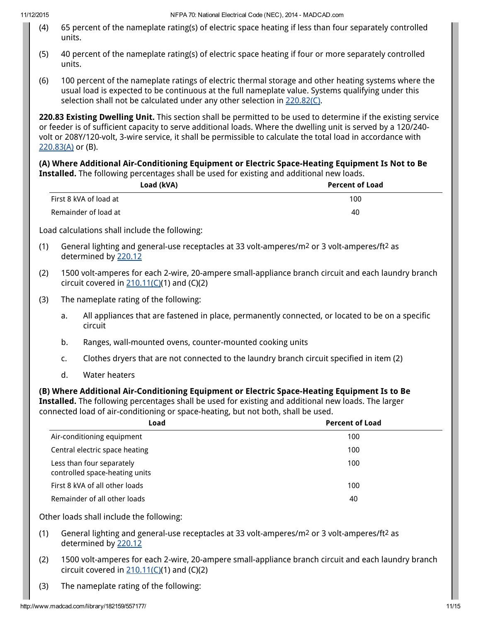- (4) 65 percent of the nameplate rating(s) of electric space heating if less than four separately controlled units.
- (5) 40 percent of the nameplate rating(s) of electric space heating if four or more separately controlled units.
- (6) 100 percent of the nameplate ratings of electric thermal storage and other heating systems where the usual load is expected to be continuous at the full nameplate value. Systems qualifying under this selection shall not be calculated under any other selection in 220.82(C).

220.83 Existing Dwelling Unit. This section shall be permitted to be used to determine if the existing service or feeder is of sufficient capacity to serve additional loads. Where the dwelling unit is served by a 120/240 volt or 208Y/120-volt, 3-wire service, it shall be permissible to calculate the total load in accordance with 220.83(A) or (B).

(A) Where Additional Air-Conditioning Equipment or Electric Space-Heating Equipment Is Not to Be Installed. The following percentages shall be used for existing and additional new loads.

|                                    |                                                                                                                                                     | Load (kVA)                                                                                                                                                                                                                                                                                        | <b>Percent of Load</b> |  |
|------------------------------------|-----------------------------------------------------------------------------------------------------------------------------------------------------|---------------------------------------------------------------------------------------------------------------------------------------------------------------------------------------------------------------------------------------------------------------------------------------------------|------------------------|--|
|                                    | First 8 kVA of load at                                                                                                                              |                                                                                                                                                                                                                                                                                                   | 100                    |  |
| Remainder of load at<br>40         |                                                                                                                                                     |                                                                                                                                                                                                                                                                                                   |                        |  |
|                                    |                                                                                                                                                     | Load calculations shall include the following:                                                                                                                                                                                                                                                    |                        |  |
| (1)                                |                                                                                                                                                     | General lighting and general-use receptacles at 33 volt-amperes/m <sup>2</sup> or 3 volt-amperes/ft <sup>2</sup> as<br>determined by 220.12                                                                                                                                                       |                        |  |
| (2)                                | 1500 volt-amperes for each 2-wire, 20-ampere small-appliance branch circuit and each laundry branch<br>circuit covered in $210.11(C)(1)$ and (C)(2) |                                                                                                                                                                                                                                                                                                   |                        |  |
| (3)                                |                                                                                                                                                     | The nameplate rating of the following:                                                                                                                                                                                                                                                            |                        |  |
|                                    | a.                                                                                                                                                  | All appliances that are fastened in place, permanently connected, or located to be on a specific<br>circuit                                                                                                                                                                                       |                        |  |
|                                    | b.                                                                                                                                                  | Ranges, wall-mounted ovens, counter-mounted cooking units                                                                                                                                                                                                                                         |                        |  |
|                                    | Clothes dryers that are not connected to the laundry branch circuit specified in item (2)<br>c.                                                     |                                                                                                                                                                                                                                                                                                   |                        |  |
|                                    | d.                                                                                                                                                  | <b>Water heaters</b>                                                                                                                                                                                                                                                                              |                        |  |
|                                    |                                                                                                                                                     | (B) Where Additional Air-Conditioning Equipment or Electric Space-Heating Equipment Is to Be<br>Installed. The following percentages shall be used for existing and additional new loads. The larger<br>connected load of air-conditioning or space-heating, but not both, shall be used.<br>Load | <b>Percent of Load</b> |  |
|                                    |                                                                                                                                                     | Air-conditioning equipment                                                                                                                                                                                                                                                                        | 100                    |  |
|                                    |                                                                                                                                                     |                                                                                                                                                                                                                                                                                                   | 100                    |  |
| Central electric space heating     |                                                                                                                                                     |                                                                                                                                                                                                                                                                                                   |                        |  |
|                                    |                                                                                                                                                     | Less than four separately<br>controlled space-heating units                                                                                                                                                                                                                                       | 100                    |  |
|                                    |                                                                                                                                                     | First 8 kVA of all other loads                                                                                                                                                                                                                                                                    | 100                    |  |
| Remainder of all other loads<br>40 |                                                                                                                                                     |                                                                                                                                                                                                                                                                                                   |                        |  |

Other loads shall include the following:

- (1) General lighting and general-use receptacles at 33 volt-amperes/m2 or 3 volt-amperes/ft2 as determined by 220.12
- (2) 1500 volt-amperes for each 2-wire, 20-ampere small-appliance branch circuit and each laundry branch circuit covered in  $210.11$ (C)(1) and (C)(2)
- (3) The nameplate rating of the following: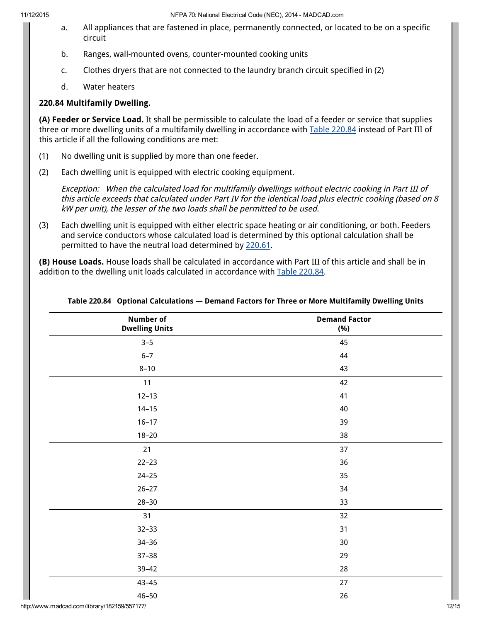11/12/2015 NFPA 70: National Electrical Code (NEC), 2014 MADCAD.com

- a. All appliances that are fastened in place, permanently connected, or located to be on a specific circuit
- b. Ranges, wall-mounted ovens, counter-mounted cooking units
- c. Clothes dryers that are not connected to the laundry branch circuit specified in (2)
- d. Water heaters

# 220.84 Multifamily Dwelling.

(A) Feeder or Service Load. It shall be permissible to calculate the load of a feeder or service that supplies three or more dwelling units of a multifamily dwelling in accordance with Table 220.84 instead of Part III of this article if all the following conditions are met:

- (1) No dwelling unit is supplied by more than one feeder.
- (2) Each dwelling unit is equipped with electric cooking equipment.

Exception: When the calculated load for multifamily dwellings without electric cooking in Part III of this article exceeds that calculated under Part IV for the identical load plus electric cooking (based on 8 kW per unit), the lesser of the two loads shall be permitted to be used.

(3) Each dwelling unit is equipped with either electric space heating or air conditioning, or both. Feeders and service conductors whose calculated load is determined by this optional calculation shall be permitted to have the neutral load determined by 220.61.

(B) House Loads. House loads shall be calculated in accordance with Part III of this article and shall be in addition to the dwelling unit loads calculated in accordance with Table 220.84.

| <b>Number of</b><br><b>Dwelling Units</b> | <b>Demand Factor</b><br>(%) |
|-------------------------------------------|-----------------------------|
| $3 - 5$                                   | 45                          |
| $6 - 7$                                   | 44                          |
| $8 - 10$                                  | 43                          |
| 11                                        | 42                          |
| $12 - 13$                                 | 41                          |
| $14 - 15$                                 | 40                          |
| $16 - 17$                                 | 39                          |
| $18 - 20$                                 | 38                          |
| 21                                        | 37                          |
| $22 - 23$                                 | 36                          |
| $24 - 25$                                 | 35                          |
| $26 - 27$                                 | 34                          |
| $28 - 30$                                 | 33                          |
| 31                                        | 32                          |
| $32 - 33$                                 | 31                          |
| $34 - 36$                                 | $30\,$                      |
| $37 - 38$                                 | 29                          |
| $39 - 42$                                 | 28                          |
| $43 - 45$                                 | 27                          |
| $46 - 50$                                 | 26                          |
|                                           |                             |

#### Table 220.84 Optional Calculations — Demand Factors for Three or More Multifamily Dwelling Units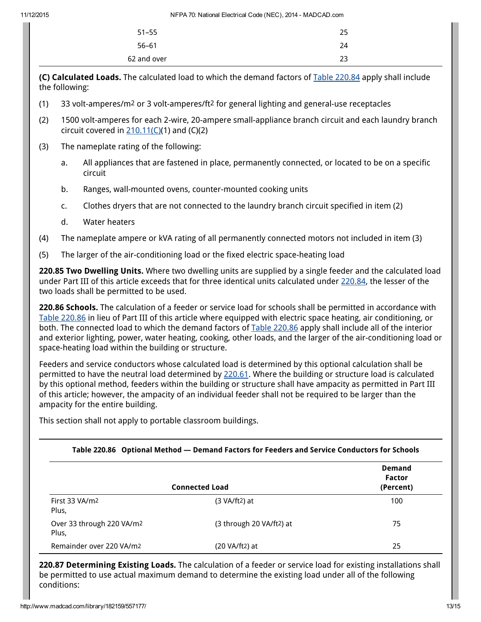| 62 and over | 23 |
|-------------|----|
| $56 - 61$   | 24 |
| $51 - 55$   | 25 |
|             |    |

(C) Calculated Loads. The calculated load to which the demand factors of Table 220.84 apply shall include the following:

- (1) 33 volt-amperes/m2 or 3 volt-amperes/ft2 for general lighting and general-use receptacles
- (2) 1500 volt-amperes for each 2-wire, 20-ampere small-appliance branch circuit and each laundry branch circuit covered in  $210.11(C)(1)$  $210.11(C)(1)$  and  $(C)(2)$
- (3) The nameplate rating of the following:
	- a. All appliances that are fastened in place, permanently connected, or located to be on a specific circuit
	- b. Ranges, wall-mounted ovens, counter-mounted cooking units
	- c. Clothes dryers that are not connected to the laundry branch circuit specified in item (2)
	- d. Water heaters
- (4) The nameplate ampere or kVA rating of all permanently connected motors not included in item (3)
- (5) The larger of the air-conditioning load or the fixed electric space-heating load

220.85 Two Dwelling Units. Where two dwelling units are supplied by a single feeder and the calculated load under Part III of this article exceeds that for three identical units calculated under 220.84, the lesser of the two loads shall be permitted to be used.

220.86 Schools. The calculation of a feeder or service load for schools shall be permitted in accordance with Table 220.86 in lieu of Part III of this article where equipped with electric space heating, air conditioning, or both. The connected load to which the demand factors of Table 220.86 apply shall include all of the interior and exterior lighting, power, water heating, cooking, other loads, and the larger of the air-conditioning load or space-heating load within the building or structure.

Feeders and service conductors whose calculated load is determined by this optional calculation shall be permitted to have the neutral load determined by 220.61. Where the building or structure load is calculated by this optional method, feeders within the building or structure shall have ampacity as permitted in Part III of this article; however, the ampacity of an individual feeder shall not be required to be larger than the ampacity for the entire building.

This section shall not apply to portable classroom buildings.

|  | Table 220.86 Optional Method — Demand Factors for Feeders and Service Conductors for Schools |
|--|----------------------------------------------------------------------------------------------|
|--|----------------------------------------------------------------------------------------------|

|                                    | <b>Connected Load</b>    | <b>Demand</b><br>Factor<br>(Percent) |
|------------------------------------|--------------------------|--------------------------------------|
| First 33 VA/m2<br>Plus,            | $(3 \text{ VA/ft2})$ at  | 100                                  |
| Over 33 through 220 VA/m2<br>Plus, | (3 through 20 VA/ft2) at | 75                                   |
| Remainder over 220 VA/m2           | $(20 VA/ft2)$ at         | 25                                   |

220.87 Determining Existing Loads. The calculation of a feeder or service load for existing installations shall be permitted to use actual maximum demand to determine the existing load under all of the following conditions: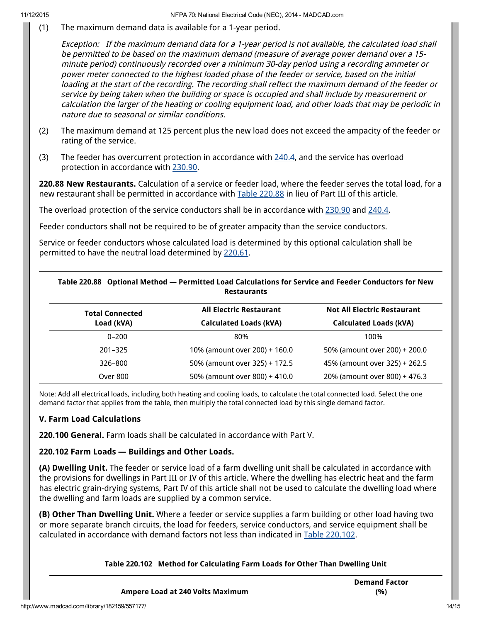(1) The maximum demand data is available for a 1-year period.

Exception: If the maximum demand data for <sup>a</sup> 1-year period is not available, the calculated load shall be permitted to be based on the maximum demand (measure of average power demand over <sup>a</sup> 15 minute period) continuously recorded over <sup>a</sup> minimum 30-day period using <sup>a</sup> recording ammeter or power meter connected to the highest loaded phase of the feeder or service, based on the initial loading at the start of the recording. The recording shall reflect the maximum demand of the feeder or service by being taken when the building or space is occupied and shall include by measurement or calculation the larger of the heating or cooling equipment load, and other loads that may be periodic in nature due to seasonal or similar conditions.

- (2) The maximum demand at 125 percent plus the new load does not exceed the ampacity of the feeder or rating of the service.
- (3) The feeder has overcurrent protection in accordance with [240.4](http://www.madcad.com/library/182159/557180/#nfc_70_2014_ID000070045194), and the service has overload protection in accordance with [230.90](http://www.madcad.com/library/182159/557179/#nfc_70_2014_ID000070046475).

220.88 New Restaurants. Calculation of a service or feeder load, where the feeder serves the total load, for a new restaurant shall be permitted in accordance with Table 220.88 in lieu of Part III of this article.

The overload protection of the service conductors shall be in accordance with [230.90](http://www.madcad.com/library/182159/557179/#nfc_70_2014_ID000070046475) and [240.4.](http://www.madcad.com/library/182159/557180/#nfc_70_2014_ID000070045194)

Feeder conductors shall not be required to be of greater ampacity than the service conductors.

Service or feeder conductors whose calculated load is determined by this optional calculation shall be permitted to have the neutral load determined by 220.61.

| Table 220.88 Optional Method - Permitted Load Calculations for Service and Feeder Conductors for New<br><b>Restaurants</b> |                               |                                    |
|----------------------------------------------------------------------------------------------------------------------------|-------------------------------|------------------------------------|
| <b>All Electric Restaurant</b><br><b>Total Connected</b>                                                                   |                               | <b>Not All Electric Restaurant</b> |
| Load (kVA)                                                                                                                 | <b>Calculated Loads (kVA)</b> | <b>Calculated Loads (kVA)</b>      |
| $0 - 200$                                                                                                                  | 80%                           | 100%                               |
| 201-325                                                                                                                    | 10% (amount over 200) + 160.0 | 50% (amount over 200) + 200.0      |
| 326-800                                                                                                                    | 50% (amount over 325) + 172.5 | 45% (amount over 325) + 262.5      |
| Over 800                                                                                                                   | 50% (amount over 800) + 410.0 | 20% (amount over 800) + 476.3      |

Note: Add all electrical loads, including both heating and cooling loads, to calculate the total connected load. Select the one demand factor that applies from the table, then multiply the total connected load by this single demand factor.

### V. Farm Load Calculations

220.100 General. Farm loads shall be calculated in accordance with Part V.

### 220.102 Farm Loads — Buildings and Other Loads.

(A) Dwelling Unit. The feeder or service load of a farm dwelling unit shall be calculated in accordance with the provisions for dwellings in Part III or IV of this article. Where the dwelling has electric heat and the farm has electric grain-drying systems, Part IV of this article shall not be used to calculate the dwelling load where the dwelling and farm loads are supplied by a common service.

(B) Other Than Dwelling Unit. Where a feeder or service supplies a farm building or other load having two or more separate branch circuits, the load for feeders, service conductors, and service equipment shall be calculated in accordance with demand factors not less than indicated in Table 220.102.

| Table 220.102 Method for Calculating Farm Loads for Other Than Dwelling Unit |                             |
|------------------------------------------------------------------------------|-----------------------------|
| <b>Ampere Load at 240 Volts Maximum</b>                                      | <b>Demand Factor</b><br>(%) |